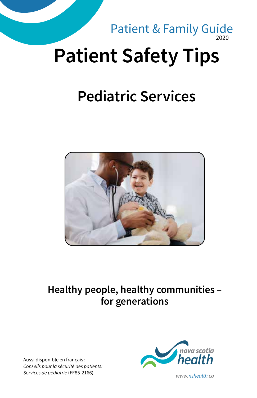

# **Pediatric Services**



#### **Healthy people, healthy communities – for generations**

Aussi disponible en français : *Conseils pour la sécurité des patients: Services de pédiatrie* (FF85-2166) *www.nshealth.ca*

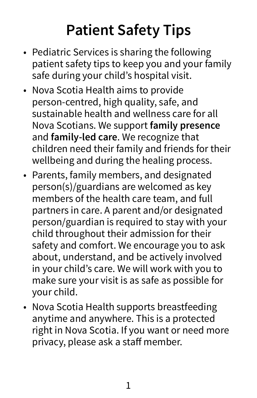# **Patient Safety Tips**

- Pediatric Services is sharing the following patient safety tips to keep you and your family safe during your child's hospital visit.
- Nova Scotia Health aims to provide person-centred, high quality, safe, and sustainable health and wellness care for all Nova Scotians. We support **family presence** and **family-led care**. We recognize that children need their family and friends for their wellbeing and during the healing process.
- Parents, family members, and designated person(s)/guardians are welcomed as key members of the health care team, and full partners in care. A parent and/or designated person/guardian is required to stay with your child throughout their admission for their safety and comfort. We encourage you to ask about, understand, and be actively involved in your child's care. We will work with you to make sure your visit is as safe as possible for your child.
- Nova Scotia Health supports breastfeeding anytime and anywhere. This is a protected right in Nova Scotia. If you want or need more privacy, please ask a staff member.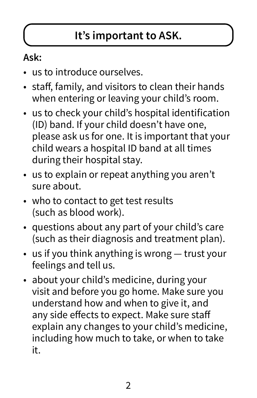### **It's important to ASK.**

### **Ask:**

- us to introduce ourselves.
- staff, family, and visitors to clean their hands when entering or leaving your child's room.
- us to check your child's hospital identification (ID) band. If your child doesn't have one, please ask us for one. It is important that your child wears a hospital ID band at all times during their hospital stay.
- us to explain or repeat anything you aren't sure about.
- who to contact to get test results (such as blood work).
- questions about any part of your child's care (such as their diagnosis and treatment plan).
- us if you think anything is wrong trust your feelings and tell us.
- about your child's medicine, during your visit and before you go home. Make sure you understand how and when to give it, and any side effects to expect. Make sure staff explain any changes to your child's medicine, including how much to take, or when to take it.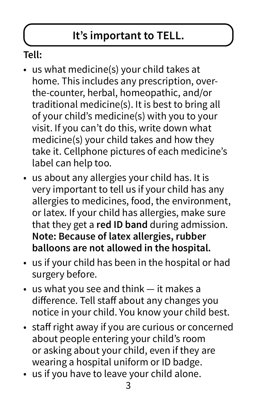### **It's important to TELL.**

### **Tell:**

- us what medicine(s) your child takes at home. This includes any prescription, overthe-counter, herbal, homeopathic, and/or traditional medicine(s). It is best to bring all of your child's medicine(s) with you to your visit. If you can't do this, write down what medicine(s) your child takes and how they take it. Cellphone pictures of each medicine's label can help too.
- us about any allergies your child has. It is very important to tell us if your child has any allergies to medicines, food, the environment, or latex. If your child has allergies, make sure that they get a **red ID band** during admission. **Note: Because of latex allergies, rubber balloons are not allowed in the hospital.**
- us if your child has been in the hospital or had surgery before.
- us what you see and think it makes a difference. Tell staff about any changes you notice in your child. You know your child best.
- staff right away if you are curious or concerned about people entering your child's room or asking about your child, even if they are wearing a hospital uniform or ID badge.
- us if you have to leave your child alone.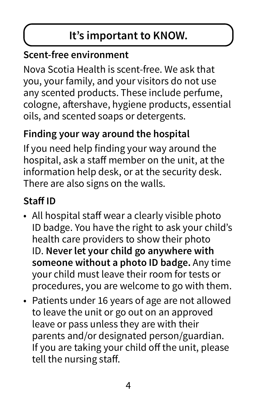### **It's important to KNOW.**

### **Scent-free environment**

Nova Scotia Health is scent-free. We ask that you, your family, and your visitors do not use any scented products. These include perfume, cologne, aftershave, hygiene products, essential oils, and scented soaps or detergents.

### **Finding your way around the hospital**

If you need help finding your way around the hospital, ask a staff member on the unit, at the information help desk, or at the security desk. There are also signs on the walls.

### **Staff ID**

- All hospital staff wear a clearly visible photo ID badge. You have the right to ask your child's health care providers to show their photo ID. **Never let your child go anywhere with someone without a photo ID badge.** Any time your child must leave their room for tests or procedures, you are welcome to go with them.
- Patients under 16 years of age are not allowed to leave the unit or go out on an approved leave or pass unless they are with their parents and/or designated person/guardian. If you are taking your child off the unit, please tell the nursing staff.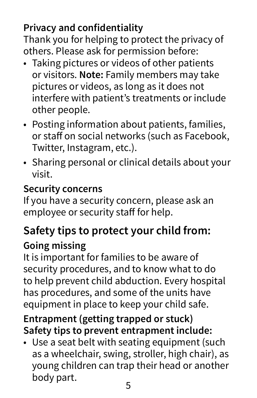### **Privacy and confidentiality**

Thank you for helping to protect the privacy of others. Please ask for permission before:

- Taking pictures or videos of other patients or visitors. **Note:** Family members may take pictures or videos, as long as it does not interfere with patient's treatments or include other people.
- Posting information about patients, families, or staff on social networks (such as Facebook, Twitter, Instagram, etc.).
- Sharing personal or clinical details about your visit.

### **Security concerns**

If you have a security concern, please ask an employee or security staff for help.

# **Safety tips to protect your child from:**

### **Going missing**

It is important for families to be aware of security procedures, and to know what to do to help prevent child abduction. Every hospital has procedures, and some of the units have equipment in place to keep your child safe.

#### **Entrapment (getting trapped or stuck) Safety tips to prevent entrapment include:**

• Use a seat belt with seating equipment (such as a wheelchair, swing, stroller, high chair), as young children can trap their head or another body part.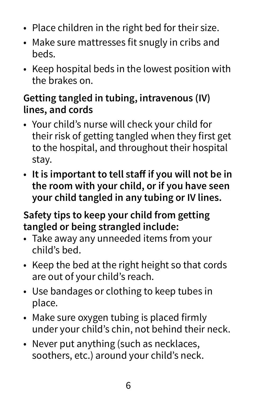- Place children in the right bed for their size.
- Make sure mattresses fit snugly in cribs and beds.
- Keep hospital beds in the lowest position with the brakes on.

### **Getting tangled in tubing, intravenous (IV) lines, and cords**

- Your child's nurse will check your child for their risk of getting tangled when they first get to the hospital, and throughout their hospital stay.
- **It is important to tell staff if you will not be in the room with your child, or if you have seen your child tangled in any tubing or IV lines.**

### **Safety tips to keep your child from getting tangled or being strangled include:**

- Take away any unneeded items from your child's bed.
- Keep the bed at the right height so that cords are out of your child's reach.
- Use bandages or clothing to keep tubes in place.
- Make sure oxygen tubing is placed firmly under your child's chin, not behind their neck.
- Never put anything (such as necklaces, soothers, etc.) around your child's neck.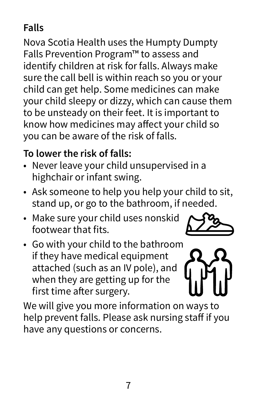### **Falls**

Nova Scotia Health uses the Humpty Dumpty Falls Prevention Program™ to assess and identify children at risk for falls. Always make sure the call bell is within reach so you or your child can get help. Some medicines can make your child sleepy or dizzy, which can cause them to be unsteady on their feet. It is important to know how medicines may affect your child so you can be aware of the risk of falls.

### **To lower the risk of falls:**

- Never leave your child unsupervised in a highchair or infant swing.
- Ask someone to help you help your child to sit, stand up, or go to the bathroom, if needed.
- Make sure your child uses nonskid footwear that fits.



• Go with your child to the bathroom if they have medical equipment attached (such as an IV pole), and when they are getting up for the first time after surgery.

We will give you more information on ways to help prevent falls. Please ask nursing staff if you have any questions or concerns.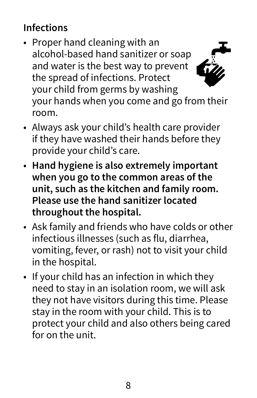### **Infections**

- Proper hand cleaning with an alcohol-based hand sanitizer or soap and water is the best way to prevent the spread of infections. Protect your child from germs by washing your hands when you come and go from their
- room. • Always ask your child's health care provider if they have washed their hands before they
- provide your child's care. • **Hand hygiene is also extremely important when you go to the common areas of the unit, such as the kitchen and family room. Please use the hand sanitizer located throughout the hospital.**
- Ask family and friends who have colds or other infectious illnesses (such as flu, diarrhea, vomiting, fever, or rash) not to visit your child in the hospital.
- If your child has an infection in which they need to stay in an isolation room, we will ask they not have visitors during this time. Please stay in the room with your child. This is to protect your child and also others being cared for on the unit.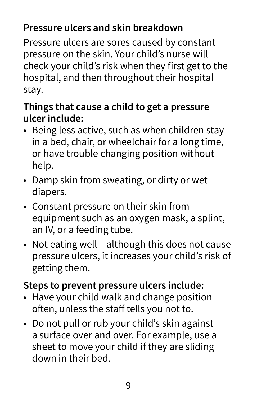### **Pressure ulcers and skin breakdown**

Pressure ulcers are sores caused by constant pressure on the skin. Your child's nurse will check your child's risk when they first get to the hospital, and then throughout their hospital stay.

#### **Things that cause a child to get a pressure ulcer include:**

- Being less active, such as when children stay in a bed, chair, or wheelchair for a long time, or have trouble changing position without help.
- Damp skin from sweating, or dirty or wet diapers.
- Constant pressure on their skin from equipment such as an oxygen mask, a splint, an IV, or a feeding tube.
- Not eating well although this does not cause pressure ulcers, it increases your child's risk of getting them.

#### **Steps to prevent pressure ulcers include:**

- Have your child walk and change position often, unless the staff tells you not to.
- Do not pull or rub your child's skin against a surface over and over. For example, use a sheet to move your child if they are sliding down in their bed.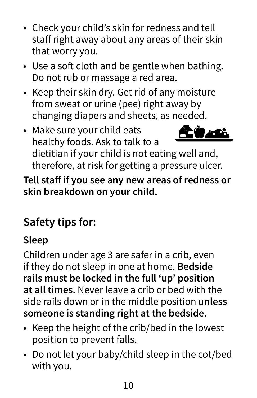- Check your child's skin for redness and tell staff right away about any areas of their skin that worry you.
- Use a soft cloth and be gentle when bathing. Do not rub or massage a red area.
- Keep their skin dry. Get rid of any moisture from sweat or urine (pee) right away by changing diapers and sheets, as needed.
- Make sure your child eats healthy foods. Ask to talk to a dietitian if your child is not eating well and, therefore, at risk for getting a pressure ulcer.

**Tell staff if you see any new areas of redness or skin breakdown on your child.**

## **Safety tips for:**

### **Sleep**

Children under age 3 are safer in a crib, even if they do not sleep in one at home. **Bedside rails must be locked in the full 'up' position at all times.** Never leave a crib or bed with the side rails down or in the middle position **unless someone is standing right at the bedside.**

- Keep the height of the crib/bed in the lowest position to prevent falls.
- Do not let your baby/child sleep in the cot/bed with you.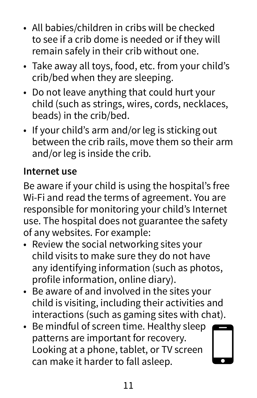- All babies/children in cribs will be checked to see if a crib dome is needed or if they will remain safely in their crib without one.
- Take away all toys, food, etc. from your child's crib/bed when they are sleeping.
- Do not leave anything that could hurt your child (such as strings, wires, cords, necklaces, beads) in the crib/bed.
- If your child's arm and/or leg is sticking out between the crib rails, move them so their arm and/or leg is inside the crib.

### **Internet use**

Be aware if your child is using the hospital's free Wi-Fi and read the terms of agreement. You are responsible for monitoring your child's Internet use. The hospital does not guarantee the safety of any websites. For example:

- Review the social networking sites your child visits to make sure they do not have any identifying information (such as photos, profile information, online diary).
- Be aware of and involved in the sites your child is visiting, including their activities and interactions (such as gaming sites with chat).
- Be mindful of screen time. Healthy sleep patterns are important for recovery. Looking at a phone, tablet, or TV screen can make it harder to fall asleep.

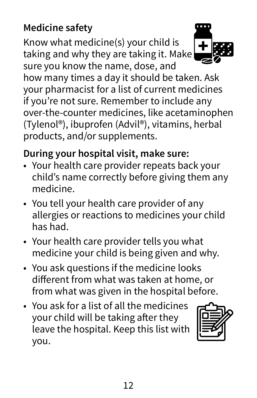### **Medicine safety**

Know what medicine(s) your child is taking and why they are taking it. Make sure you know the name, dose, and



how many times a day it should be taken. Ask your pharmacist for a list of current medicines if you're not sure. Remember to include any over-the-counter medicines, like acetaminophen (Tylenol®), ibuprofen (Advil®), vitamins, herbal products, and/or supplements.

### **During your hospital visit, make sure:**

- Your health care provider repeats back your child's name correctly before giving them any medicine.
- You tell your health care provider of any allergies or reactions to medicines your child has had.
- Your health care provider tells you what medicine your child is being given and why.
- You ask questions if the medicine looks different from what was taken at home, or from what was given in the hospital before.
- You ask for a list of all the medicines your child will be taking after they leave the hospital. Keep this list with you.

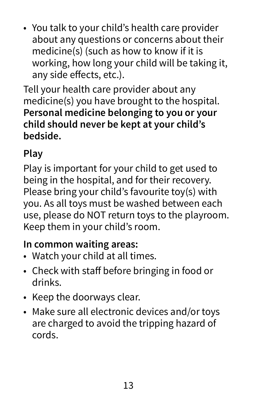• You talk to your child's health care provider about any questions or concerns about their medicine(s) (such as how to know if it is working, how long your child will be taking it, any side effects, etc.).

Tell your health care provider about any medicine(s) you have brought to the hospital. **Personal medicine belonging to you or your child should never be kept at your child's bedside.** 

### **Play**

Play is important for your child to get used to being in the hospital, and for their recovery. Please bring your child's favourite toy(s) with you. As all toys must be washed between each use, please do NOT return toys to the playroom. Keep them in your child's room.

#### **In common waiting areas:**

- Watch your child at all times.
- Check with staff before bringing in food or drinks.
- Keep the doorways clear.
- Make sure all electronic devices and/or toys are charged to avoid the tripping hazard of cords.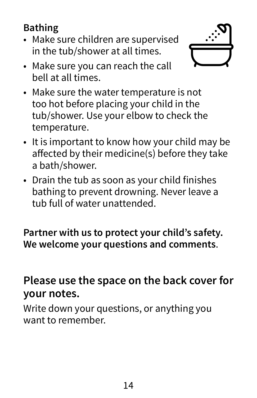### **Bathing**

• Make sure children are supervised in the tub/shower at all times.



- Make sure you can reach the call bell at all times.
- Make sure the water temperature is not too hot before placing your child in the tub/shower. Use your elbow to check the temperature.
- It is important to know how your child may be affected by their medicine(s) before they take a bath/shower.
- Drain the tub as soon as your child finishes bathing to prevent drowning. Never leave a tub full of water unattended.

**Partner with us to protect your child's safety. We welcome your questions and comments**.

### **Please use the space on the back cover for your notes.**

Write down your questions, or anything you want to remember.